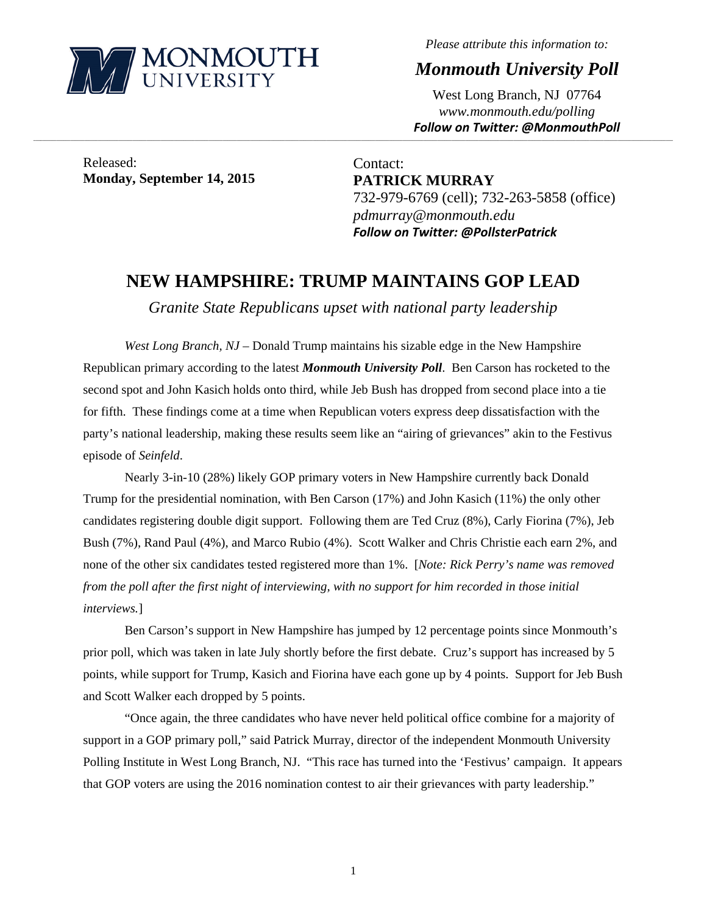

*Please attribute this information to:* 

*Monmouth University Poll* 

West Long Branch, NJ 07764 *www.monmouth.edu/polling Follow on Twitter: @MonmouthPoll*

Released: **Monday, September 14, 2015** 

Contact: **PATRICK MURRAY**  732-979-6769 (cell); 732-263-5858 (office) *pdmurray@monmouth.edu Follow on Twitter: @PollsterPatrick*

## **NEW HAMPSHIRE: TRUMP MAINTAINS GOP LEAD**

,一个人的人都是不是,我们的人都是不是,我们的人都是不是,我们的人都是不是,我们的人都是不是,我们的人都是不是,我们的人都是不是,我们的人都是不是,我们的人都是不

*Granite State Republicans upset with national party leadership* 

*West Long Branch, NJ* – Donald Trump maintains his sizable edge in the New Hampshire Republican primary according to the latest *Monmouth University Poll*. Ben Carson has rocketed to the second spot and John Kasich holds onto third, while Jeb Bush has dropped from second place into a tie for fifth. These findings come at a time when Republican voters express deep dissatisfaction with the party's national leadership, making these results seem like an "airing of grievances" akin to the Festivus episode of *Seinfeld*.

Nearly 3-in-10 (28%) likely GOP primary voters in New Hampshire currently back Donald Trump for the presidential nomination, with Ben Carson (17%) and John Kasich (11%) the only other candidates registering double digit support. Following them are Ted Cruz (8%), Carly Fiorina (7%), Jeb Bush (7%), Rand Paul (4%), and Marco Rubio (4%). Scott Walker and Chris Christie each earn 2%, and none of the other six candidates tested registered more than 1%. [*Note: Rick Perry's name was removed from the poll after the first night of interviewing, with no support for him recorded in those initial interviews.*]

Ben Carson's support in New Hampshire has jumped by 12 percentage points since Monmouth's prior poll, which was taken in late July shortly before the first debate. Cruz's support has increased by 5 points, while support for Trump, Kasich and Fiorina have each gone up by 4 points. Support for Jeb Bush and Scott Walker each dropped by 5 points.

"Once again, the three candidates who have never held political office combine for a majority of support in a GOP primary poll," said Patrick Murray, director of the independent Monmouth University Polling Institute in West Long Branch, NJ. "This race has turned into the 'Festivus' campaign. It appears that GOP voters are using the 2016 nomination contest to air their grievances with party leadership."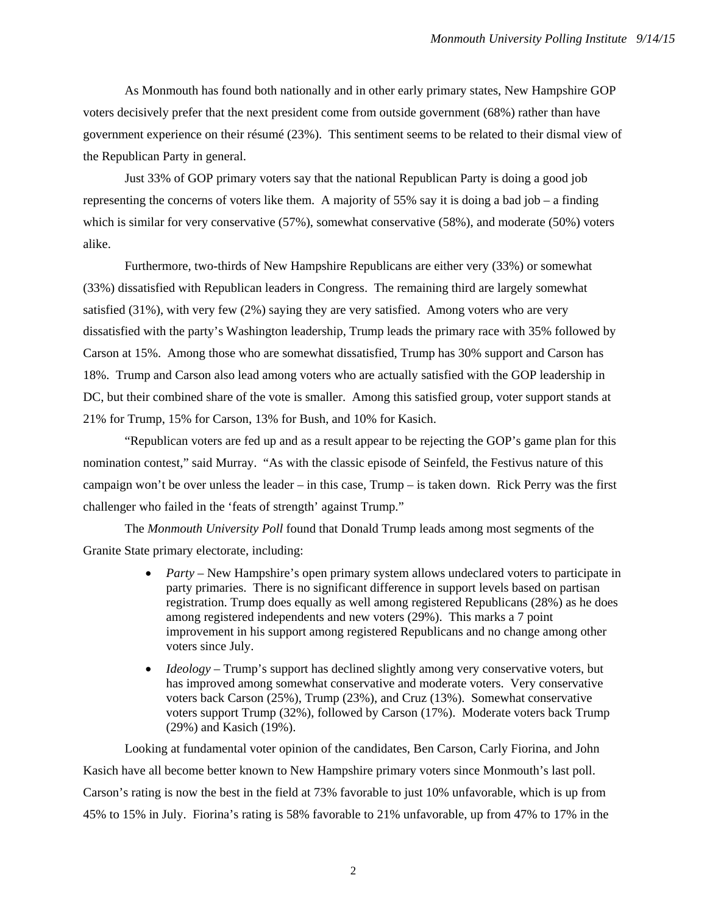As Monmouth has found both nationally and in other early primary states, New Hampshire GOP voters decisively prefer that the next president come from outside government (68%) rather than have government experience on their résumé (23%). This sentiment seems to be related to their dismal view of the Republican Party in general.

Just 33% of GOP primary voters say that the national Republican Party is doing a good job representing the concerns of voters like them. A majority of 55% say it is doing a bad job – a finding which is similar for very conservative (57%), somewhat conservative (58%), and moderate (50%) voters alike.

Furthermore, two-thirds of New Hampshire Republicans are either very (33%) or somewhat (33%) dissatisfied with Republican leaders in Congress. The remaining third are largely somewhat satisfied  $(31\%)$ , with very few  $(2\%)$  saying they are very satisfied. Among voters who are very dissatisfied with the party's Washington leadership, Trump leads the primary race with 35% followed by Carson at 15%. Among those who are somewhat dissatisfied, Trump has 30% support and Carson has 18%. Trump and Carson also lead among voters who are actually satisfied with the GOP leadership in DC, but their combined share of the vote is smaller. Among this satisfied group, voter support stands at 21% for Trump, 15% for Carson, 13% for Bush, and 10% for Kasich.

"Republican voters are fed up and as a result appear to be rejecting the GOP's game plan for this nomination contest," said Murray. "As with the classic episode of Seinfeld, the Festivus nature of this campaign won't be over unless the leader – in this case, Trump – is taken down. Rick Perry was the first challenger who failed in the 'feats of strength' against Trump."

The *Monmouth University Poll* found that Donald Trump leads among most segments of the Granite State primary electorate, including:

- *Party* New Hampshire's open primary system allows undeclared voters to participate in party primaries. There is no significant difference in support levels based on partisan registration. Trump does equally as well among registered Republicans (28%) as he does among registered independents and new voters (29%). This marks a 7 point improvement in his support among registered Republicans and no change among other voters since July.
- *Ideology* Trump's support has declined slightly among very conservative voters, but has improved among somewhat conservative and moderate voters. Very conservative voters back Carson (25%), Trump (23%), and Cruz (13%). Somewhat conservative voters support Trump (32%), followed by Carson (17%). Moderate voters back Trump (29%) and Kasich (19%).

Looking at fundamental voter opinion of the candidates, Ben Carson, Carly Fiorina, and John Kasich have all become better known to New Hampshire primary voters since Monmouth's last poll. Carson's rating is now the best in the field at 73% favorable to just 10% unfavorable, which is up from 45% to 15% in July. Fiorina's rating is 58% favorable to 21% unfavorable, up from 47% to 17% in the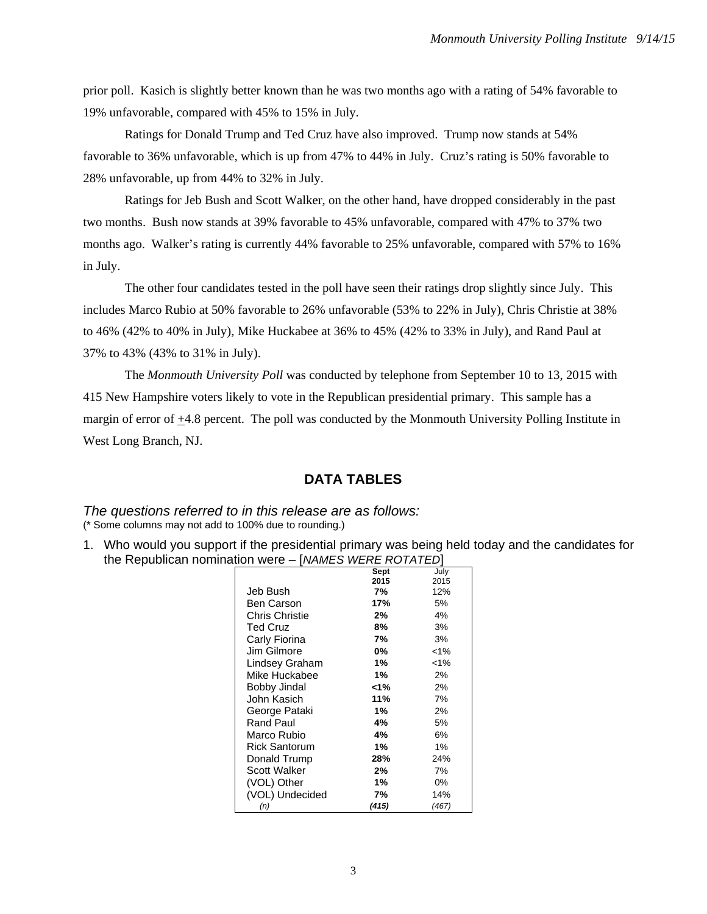prior poll. Kasich is slightly better known than he was two months ago with a rating of 54% favorable to 19% unfavorable, compared with 45% to 15% in July.

Ratings for Donald Trump and Ted Cruz have also improved. Trump now stands at 54% favorable to 36% unfavorable, which is up from 47% to 44% in July. Cruz's rating is 50% favorable to 28% unfavorable, up from 44% to 32% in July.

Ratings for Jeb Bush and Scott Walker, on the other hand, have dropped considerably in the past two months. Bush now stands at 39% favorable to 45% unfavorable, compared with 47% to 37% two months ago. Walker's rating is currently 44% favorable to 25% unfavorable, compared with 57% to 16% in July.

The other four candidates tested in the poll have seen their ratings drop slightly since July. This includes Marco Rubio at 50% favorable to 26% unfavorable (53% to 22% in July), Chris Christie at 38% to 46% (42% to 40% in July), Mike Huckabee at 36% to 45% (42% to 33% in July), and Rand Paul at 37% to 43% (43% to 31% in July).

The *Monmouth University Poll* was conducted by telephone from September 10 to 13, 2015 with 415 New Hampshire voters likely to vote in the Republican presidential primary. This sample has a margin of error of  $\pm$ 4.8 percent. The poll was conducted by the Monmouth University Polling Institute in West Long Branch, NJ.

## **DATA TABLES**

*The questions referred to in this release are as follows:*  (\* Some columns may not add to 100% due to rounding.)

1. Who would you support if the presidential primary was being held today and the candidates for the Republican nomination were – [*NAMES WERE ROTATED*]

|                      | Sept  | July    |
|----------------------|-------|---------|
|                      | 2015  | 2015    |
| Jeb Bush             | 7%    | 12%     |
| Ben Carson           | 17%   | 5%      |
| Chris Christie       | 2%    | 4%      |
| <b>Ted Cruz</b>      | 8%    | 3%      |
| Carly Fiorina        | 7%    | 3%      |
| Jim Gilmore          | 0%    | $< 1\%$ |
| Lindsey Graham       | 1%    | $< 1\%$ |
| Mike Huckabee        | 1%    | 2%      |
| Bobby Jindal         | 1%>   | 2%      |
| John Kasich          | 11%   | 7%      |
| George Pataki        | 1%    | 2%      |
| Rand Paul            | 4%    | 5%      |
| Marco Rubio          | 4%    | 6%      |
| <b>Rick Santorum</b> | 1%    | 1%      |
| Donald Trump         | 28%   | 24%     |
| <b>Scott Walker</b>  | 2%    | 7%      |
| (VOL) Other          | 1%    | 0%      |
| (VOL) Undecided      | 7%    | 14%     |
| (n)                  | (415) | (467)   |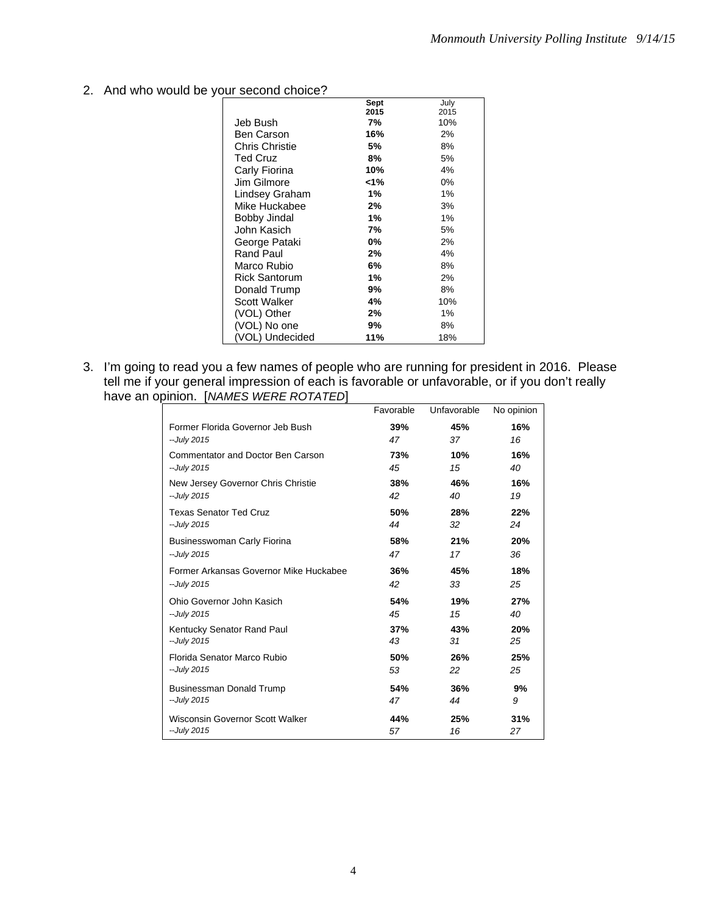2. And who would be your second choice?

|                       | Sept | July |
|-----------------------|------|------|
|                       | 2015 | 2015 |
| Jeb Bush              | 7%   | 10%  |
| Ben Carson            | 16%  | 2%   |
| <b>Chris Christie</b> | 5%   | 8%   |
| <b>Ted Cruz</b>       | 8%   | 5%   |
| Carly Fiorina         | 10%  | 4%   |
| Jim Gilmore           | <1%  | 0%   |
| Lindsey Graham        | 1%   | 1%   |
| Mike Huckabee         | 2%   | 3%   |
| Bobby Jindal          | 1%   | 1%   |
| John Kasich           | 7%   | 5%   |
| George Pataki         | 0%   | 2%   |
| Rand Paul             | 2%   | 4%   |
| Marco Rubio           | 6%   | 8%   |
| <b>Rick Santorum</b>  | 1%   | 2%   |
| Donald Trump          | 9%   | 8%   |
| <b>Scott Walker</b>   | 4%   | 10%  |
| (VOL) Other           | 2%   | 1%   |
| (VOL) No one          | 9%   | 8%   |
| (VOL) Undecided       | 11%  | 18%  |

3. I'm going to read you a few names of people who are running for president in 2016. Please tell me if your general impression of each is favorable or unfavorable, or if you don't really have an opinion. [*NAMES WERE ROTATED*]

|                                          | Favorable | Unfavorable | No opinion |
|------------------------------------------|-----------|-------------|------------|
| Former Florida Governor Jeb Bush         | 39%       | 45%         | 16%        |
| --July 2015                              | 47        | 37          | 16         |
| <b>Commentator and Doctor Ben Carson</b> | 73%       | 10%         | 16%        |
| --July 2015                              | 45        | 15          | 40         |
| New Jersey Governor Chris Christie       | 38%       | 46%         | 16%        |
| --July 2015                              | 42        | 40          | 19         |
| <b>Texas Senator Ted Cruz</b>            | 50%       | 28%         | 22%        |
| --July 2015                              | 44        | 32          | 24         |
| Businesswoman Carly Fiorina              | 58%       | 21%         | 20%        |
| --July 2015                              | 47        | 17          | 36         |
| Former Arkansas Governor Mike Huckabee   | 36%       | 45%         | 18%        |
| --July 2015                              | 42        | 33          | 25         |
| Ohio Governor John Kasich                | 54%       | 19%         | 27%        |
| --July 2015                              | 45        | 15          | 40         |
| Kentucky Senator Rand Paul               | 37%       | 43%         | 20%        |
| --July 2015                              | 43        | 31          | 25         |
| Florida Senator Marco Rubio              | 50%       | 26%         | 25%        |
| --July 2015                              | 53        | 22          | 25         |
| Businessman Donald Trump                 | 54%       | 36%         | 9%         |
| --July 2015                              | 47        | 44          | 9          |
| Wisconsin Governor Scott Walker          | 44%       | 25%         | 31%        |
| --July 2015                              | 57        | 16          | 27         |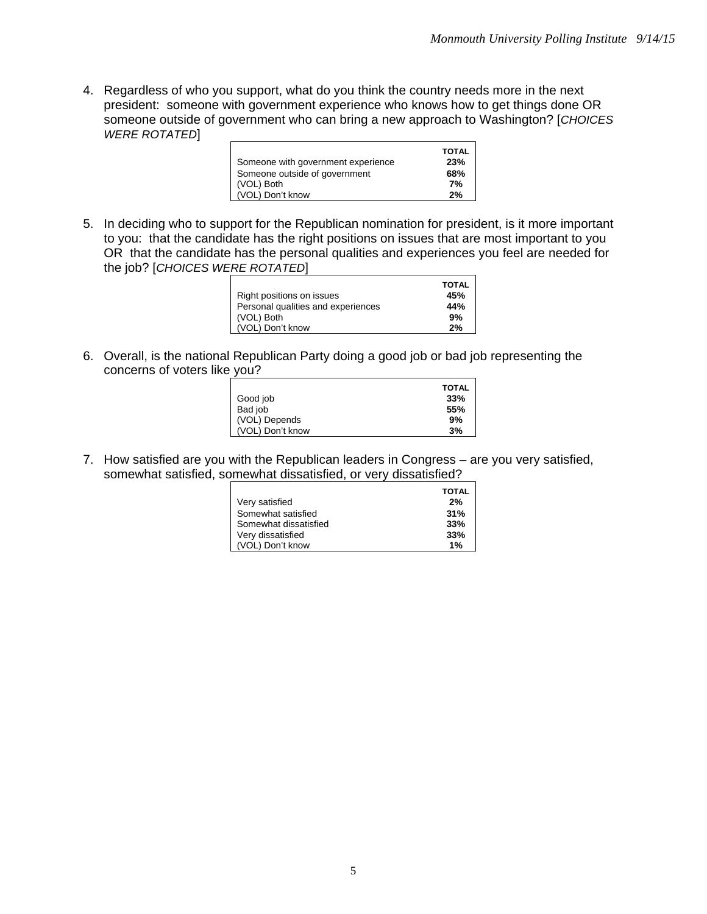4. Regardless of who you support, what do you think the country needs more in the next president: someone with government experience who knows how to get things done OR someone outside of government who can bring a new approach to Washington? [*CHOICES WERE ROTATED*]

| Someone with government experience | <b>TOTAL</b><br>23% |
|------------------------------------|---------------------|
| Someone outside of government      | 68%                 |
| (VOL) Both                         | 7%                  |
| (VOL) Don't know                   | 2%                  |

5. In deciding who to support for the Republican nomination for president, is it more important to you: that the candidate has the right positions on issues that are most important to you OR that the candidate has the personal qualities and experiences you feel are needed for the job? [*CHOICES WERE ROTATED*]

|                                    | <b>TOTAL</b> |
|------------------------------------|--------------|
| Right positions on issues          | 45%          |
| Personal qualities and experiences | 44%          |
| (VOL) Both                         | 9%           |
| (VOL) Don't know                   | 2%           |

6. Overall, is the national Republican Party doing a good job or bad job representing the concerns of voters like you?

| Good job         | <b>TOTAL</b><br>33% |
|------------------|---------------------|
| Bad job          | 55%                 |
| (VOL) Depends    | 9%                  |
| (VOL) Don't know | 3%                  |

7. How satisfied are you with the Republican leaders in Congress – are you very satisfied, somewhat satisfied, somewhat dissatisfied, or very dissatisfied?

|                       | <b>TOTAL</b> |
|-----------------------|--------------|
| Very satisfied        | 2%           |
| Somewhat satisfied    | 31%          |
| Somewhat dissatisfied | 33%          |
| Very dissatisfied     | 33%          |
| (VOL) Don't know      | 1%           |